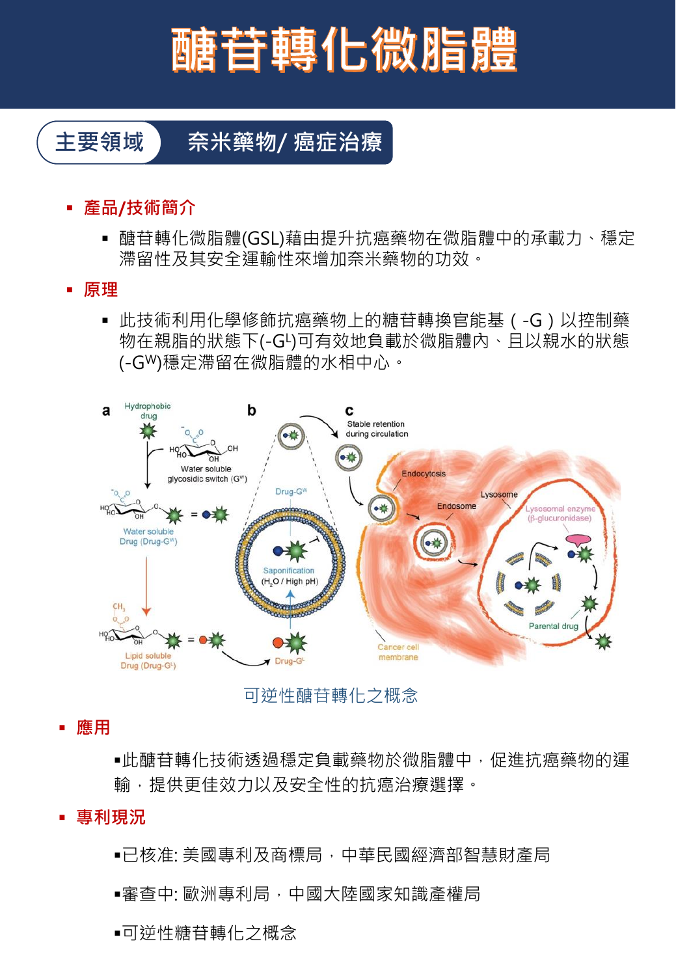# 醣苷轉化微脂體

### **主要領域 奈米藥物/ 癌症治療**

- **產品/技術簡介**
	- 醣苷轉化微脂體(GSL)藉由提升抗癌藥物在微脂體中的承載力、穩定 滯留性及其安全運輸性來增加奈米藥物的功效。
- **原理**
	- 此技術利用化學修飾抗癌藥物上的糖苷轉換官能基 ( -G ) 以控制藥 物在親脂的狀態下(-GL)可有效地負載於微脂體內、且以親水的狀態 (-GW)穩定滯留在微脂體的水相中心。



可逆性醣苷轉化之概念

▪ **應用**

■此醣苷轉化技術透過穩定負載藥物於微脂體中,促進抗癌藥物的運 輸,提供更佳效力以及安全性的抗癌治療選擇。

- **專利現況**
	- ■已核准: 美國專利及商標局 , 中華民國經濟部智慧財產局
	- ■審查中: 歐洲專利局 · 中國大陸國家知識產權局
	- ■可逆性糖苷轉化之概念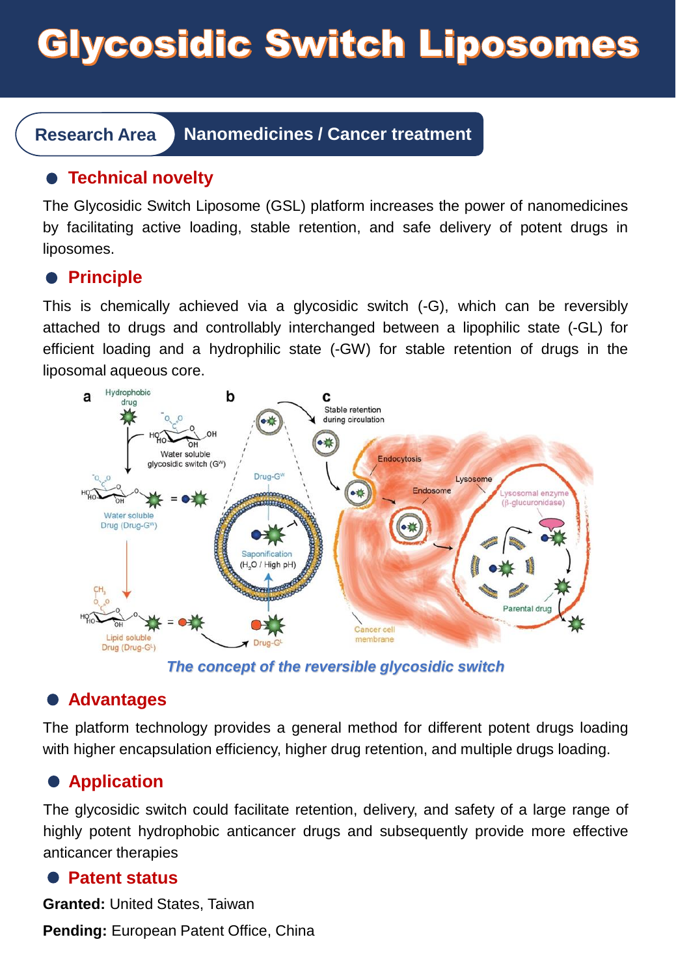# **Glycosidic Switch Liposomes**

**Research Area Nanomedicines / Cancer treatment**

#### **Technical novelty**

The Glycosidic Switch Liposome (GSL) platform increases the power of nanomedicines by facilitating active loading, stable retention, and safe delivery of potent drugs in liposomes.

#### **•** Principle

This is chemically achieved via a glycosidic switch (-G), which can be reversibly attached to drugs and controllably interchanged between a lipophilic state (-GL) for efficient loading and a hydrophilic state (-GW) for stable retention of drugs in the liposomal aqueous core.



*The concept of the reversible glycosidic switch*

#### **Advantages**

The platform technology provides a general method for different potent drugs loading with higher encapsulation efficiency, higher drug retention, and multiple drugs loading.

#### **Application**

The glycosidic switch could facilitate retention, delivery, and safety of a large range of highly potent hydrophobic anticancer drugs and subsequently provide more effective anticancer therapies

#### **Patent status**

**Granted:** United States, Taiwan **Pending:** European Patent Office, China